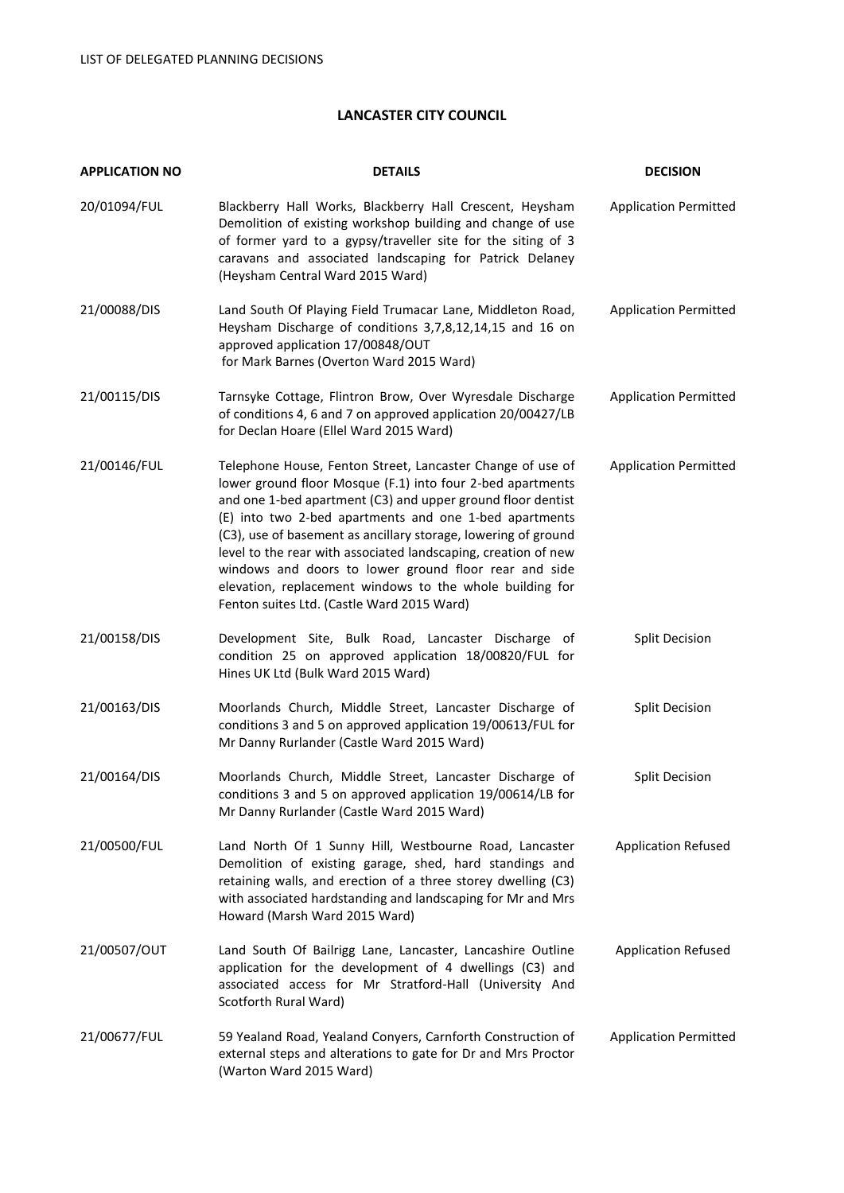# **LANCASTER CITY COUNCIL**

| <b>APPLICATION NO</b> | <b>DETAILS</b>                                                                                                                                                                                                                                                                                                                                                                                                                                                                                                                                           | <b>DECISION</b>              |
|-----------------------|----------------------------------------------------------------------------------------------------------------------------------------------------------------------------------------------------------------------------------------------------------------------------------------------------------------------------------------------------------------------------------------------------------------------------------------------------------------------------------------------------------------------------------------------------------|------------------------------|
| 20/01094/FUL          | Blackberry Hall Works, Blackberry Hall Crescent, Heysham<br>Demolition of existing workshop building and change of use<br>of former yard to a gypsy/traveller site for the siting of 3<br>caravans and associated landscaping for Patrick Delaney<br>(Heysham Central Ward 2015 Ward)                                                                                                                                                                                                                                                                    | <b>Application Permitted</b> |
| 21/00088/DIS          | Land South Of Playing Field Trumacar Lane, Middleton Road,<br>Heysham Discharge of conditions 3,7,8,12,14,15 and 16 on<br>approved application 17/00848/OUT<br>for Mark Barnes (Overton Ward 2015 Ward)                                                                                                                                                                                                                                                                                                                                                  | <b>Application Permitted</b> |
| 21/00115/DIS          | Tarnsyke Cottage, Flintron Brow, Over Wyresdale Discharge<br>of conditions 4, 6 and 7 on approved application 20/00427/LB<br>for Declan Hoare (Ellel Ward 2015 Ward)                                                                                                                                                                                                                                                                                                                                                                                     | <b>Application Permitted</b> |
| 21/00146/FUL          | Telephone House, Fenton Street, Lancaster Change of use of<br>lower ground floor Mosque (F.1) into four 2-bed apartments<br>and one 1-bed apartment (C3) and upper ground floor dentist<br>(E) into two 2-bed apartments and one 1-bed apartments<br>(C3), use of basement as ancillary storage, lowering of ground<br>level to the rear with associated landscaping, creation of new<br>windows and doors to lower ground floor rear and side<br>elevation, replacement windows to the whole building for<br>Fenton suites Ltd. (Castle Ward 2015 Ward) | <b>Application Permitted</b> |
| 21/00158/DIS          | Development Site, Bulk Road, Lancaster Discharge of<br>condition 25 on approved application 18/00820/FUL for<br>Hines UK Ltd (Bulk Ward 2015 Ward)                                                                                                                                                                                                                                                                                                                                                                                                       | <b>Split Decision</b>        |
| 21/00163/DIS          | Moorlands Church, Middle Street, Lancaster Discharge of<br>conditions 3 and 5 on approved application 19/00613/FUL for<br>Mr Danny Rurlander (Castle Ward 2015 Ward)                                                                                                                                                                                                                                                                                                                                                                                     | <b>Split Decision</b>        |
| 21/00164/DIS          | Moorlands Church, Middle Street, Lancaster Discharge of<br>conditions 3 and 5 on approved application 19/00614/LB for<br>Mr Danny Rurlander (Castle Ward 2015 Ward)                                                                                                                                                                                                                                                                                                                                                                                      | <b>Split Decision</b>        |
| 21/00500/FUL          | Land North Of 1 Sunny Hill, Westbourne Road, Lancaster<br>Demolition of existing garage, shed, hard standings and<br>retaining walls, and erection of a three storey dwelling (C3)<br>with associated hardstanding and landscaping for Mr and Mrs<br>Howard (Marsh Ward 2015 Ward)                                                                                                                                                                                                                                                                       | <b>Application Refused</b>   |
| 21/00507/OUT          | Land South Of Bailrigg Lane, Lancaster, Lancashire Outline<br>application for the development of 4 dwellings (C3) and<br>associated access for Mr Stratford-Hall (University And<br>Scotforth Rural Ward)                                                                                                                                                                                                                                                                                                                                                | <b>Application Refused</b>   |
| 21/00677/FUL          | 59 Yealand Road, Yealand Conyers, Carnforth Construction of<br>external steps and alterations to gate for Dr and Mrs Proctor<br>(Warton Ward 2015 Ward)                                                                                                                                                                                                                                                                                                                                                                                                  | <b>Application Permitted</b> |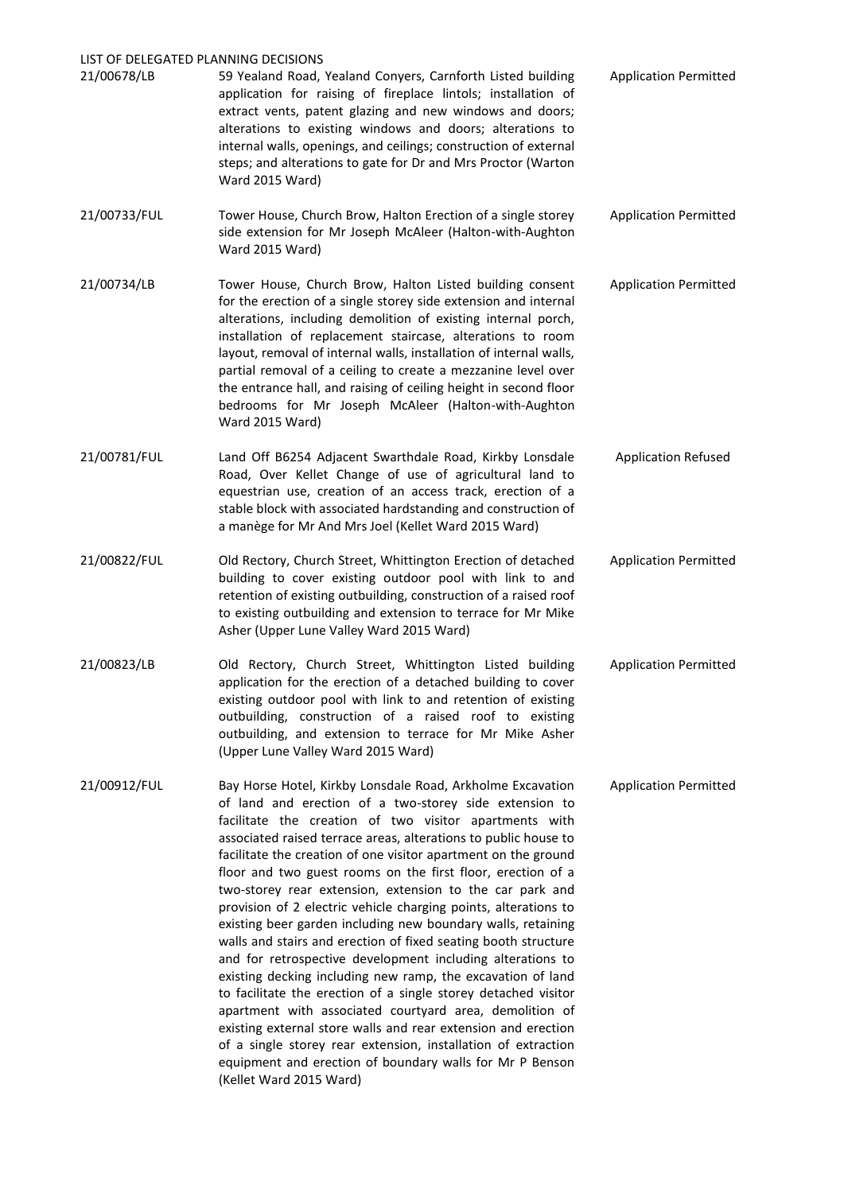# LIST OF DELEGATED PLANNING DECISIONS 21/00678/LB 59 Yealand Road, Yealand Conyers, Carnforth Listed building application for raising of fireplace lintols; installation of extract vents, patent glazing and new windows and doors; alterations to existing windows and doors; alterations to internal walls, openings, and ceilings; construction of external steps; and alterations to gate for Dr and Mrs Proctor (Warton Ward 2015 Ward) Application Permitted 21/00733/FUL Tower House, Church Brow, Halton Erection of a single storey side extension for Mr Joseph McAleer (Halton-with-Aughton Ward 2015 Ward) Application Permitted 21/00734/LB Tower House, Church Brow, Halton Listed building consent for the erection of a single storey side extension and internal alterations, including demolition of existing internal porch, installation of replacement staircase, alterations to room layout, removal of internal walls, installation of internal walls, partial removal of a ceiling to create a mezzanine level over the entrance hall, and raising of ceiling height in second floor bedrooms for Mr Joseph McAleer (Halton-with-Aughton Ward 2015 Ward) Application Permitted 21/00781/FUL Land Off B6254 Adjacent Swarthdale Road, Kirkby Lonsdale Road, Over Kellet Change of use of agricultural land to equestrian use, creation of an access track, erection of a stable block with associated hardstanding and construction of a manège for Mr And Mrs Joel (Kellet Ward 2015 Ward) Application Refused 21/00822/FUL Old Rectory, Church Street, Whittington Erection of detached building to cover existing outdoor pool with link to and retention of existing outbuilding, construction of a raised roof Application Permitted

21/00823/LB Old Rectory, Church Street, Whittington Listed building application for the erection of a detached building to cover existing outdoor pool with link to and retention of existing outbuilding, construction of a raised roof to existing outbuilding, and extension to terrace for Mr Mike Asher (Upper Lune Valley Ward 2015 Ward) Application Permitted

to existing outbuilding and extension to terrace for Mr Mike

Asher (Upper Lune Valley Ward 2015 Ward)

21/00912/FUL Bay Horse Hotel, Kirkby Lonsdale Road, Arkholme Excavation of land and erection of a two-storey side extension to facilitate the creation of two visitor apartments with associated raised terrace areas, alterations to public house to facilitate the creation of one visitor apartment on the ground floor and two guest rooms on the first floor, erection of a two-storey rear extension, extension to the car park and provision of 2 electric vehicle charging points, alterations to existing beer garden including new boundary walls, retaining walls and stairs and erection of fixed seating booth structure and for retrospective development including alterations to existing decking including new ramp, the excavation of land to facilitate the erection of a single storey detached visitor apartment with associated courtyard area, demolition of existing external store walls and rear extension and erection of a single storey rear extension, installation of extraction equipment and erection of boundary walls for Mr P Benson (Kellet Ward 2015 Ward) Application Permitted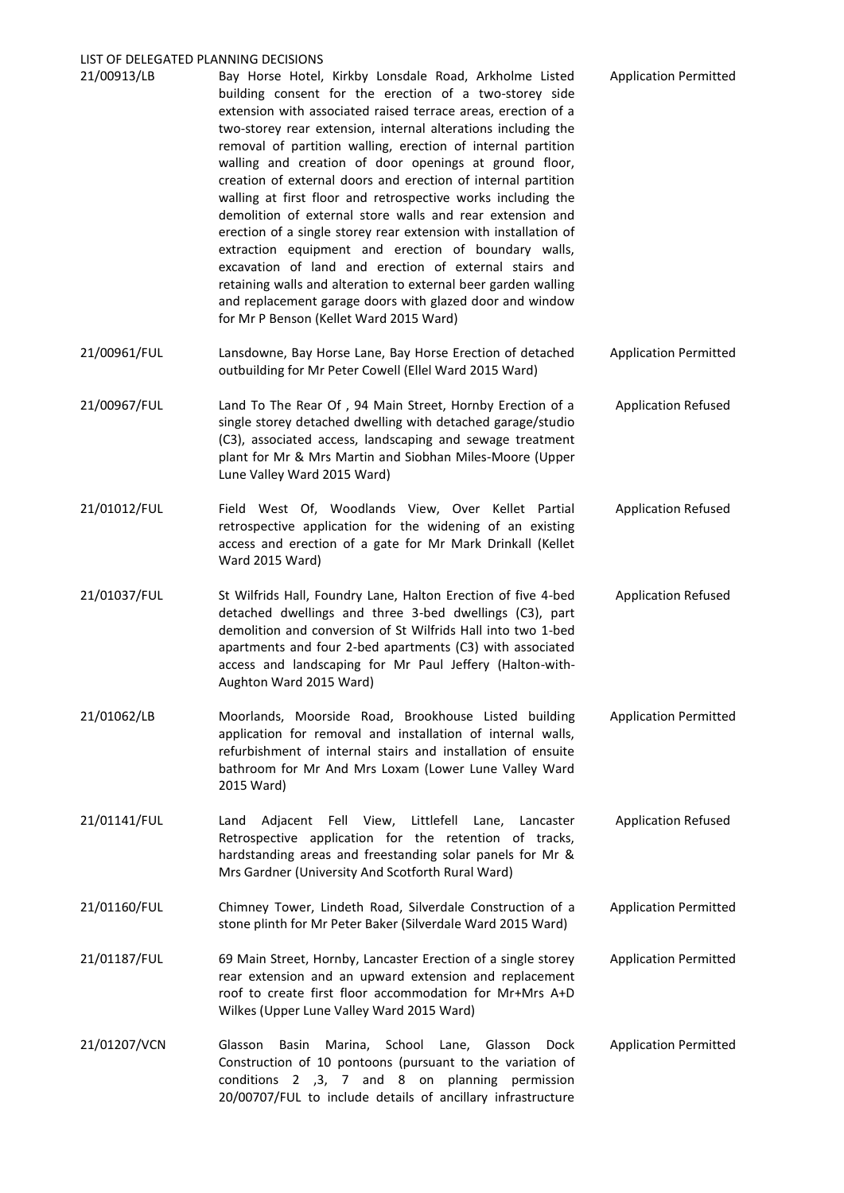#### LIST OF DELEGATED PLANNING DECISIONS

| 21/00913/LB  | Bay Horse Hotel, Kirkby Lonsdale Road, Arkholme Listed<br>building consent for the erection of a two-storey side<br>extension with associated raised terrace areas, erection of a<br>two-storey rear extension, internal alterations including the<br>removal of partition walling, erection of internal partition<br>walling and creation of door openings at ground floor,<br>creation of external doors and erection of internal partition<br>walling at first floor and retrospective works including the<br>demolition of external store walls and rear extension and<br>erection of a single storey rear extension with installation of<br>extraction equipment and erection of boundary walls,<br>excavation of land and erection of external stairs and<br>retaining walls and alteration to external beer garden walling<br>and replacement garage doors with glazed door and window<br>for Mr P Benson (Kellet Ward 2015 Ward) | <b>Application Permitted</b> |
|--------------|------------------------------------------------------------------------------------------------------------------------------------------------------------------------------------------------------------------------------------------------------------------------------------------------------------------------------------------------------------------------------------------------------------------------------------------------------------------------------------------------------------------------------------------------------------------------------------------------------------------------------------------------------------------------------------------------------------------------------------------------------------------------------------------------------------------------------------------------------------------------------------------------------------------------------------------|------------------------------|
| 21/00961/FUL | Lansdowne, Bay Horse Lane, Bay Horse Erection of detached<br>outbuilding for Mr Peter Cowell (Ellel Ward 2015 Ward)                                                                                                                                                                                                                                                                                                                                                                                                                                                                                                                                                                                                                                                                                                                                                                                                                      | <b>Application Permitted</b> |
| 21/00967/FUL | Land To The Rear Of, 94 Main Street, Hornby Erection of a<br>single storey detached dwelling with detached garage/studio<br>(C3), associated access, landscaping and sewage treatment<br>plant for Mr & Mrs Martin and Siobhan Miles-Moore (Upper<br>Lune Valley Ward 2015 Ward)                                                                                                                                                                                                                                                                                                                                                                                                                                                                                                                                                                                                                                                         | <b>Application Refused</b>   |
| 21/01012/FUL | Field West Of, Woodlands View, Over Kellet Partial<br>retrospective application for the widening of an existing<br>access and erection of a gate for Mr Mark Drinkall (Kellet<br>Ward 2015 Ward)                                                                                                                                                                                                                                                                                                                                                                                                                                                                                                                                                                                                                                                                                                                                         | <b>Application Refused</b>   |
| 21/01037/FUL | St Wilfrids Hall, Foundry Lane, Halton Erection of five 4-bed<br>detached dwellings and three 3-bed dwellings (C3), part<br>demolition and conversion of St Wilfrids Hall into two 1-bed<br>apartments and four 2-bed apartments (C3) with associated                                                                                                                                                                                                                                                                                                                                                                                                                                                                                                                                                                                                                                                                                    | <b>Application Refused</b>   |

21/01062/LB Moorlands, Moorside Road, Brookhouse Listed building application for removal and installation of internal walls, refurbishment of internal stairs and installation of ensuite bathroom for Mr And Mrs Loxam (Lower Lune Valley Ward 2015 Ward) Application Permitted

access and landscaping for Mr Paul Jeffery (Halton-with-

Aughton Ward 2015 Ward)

- 21/01141/FUL Land Adjacent Fell View, Littlefell Lane, Lancaster Retrospective application for the retention of tracks, hardstanding areas and freestanding solar panels for Mr & Mrs Gardner (University And Scotforth Rural Ward) Application Refused
- 21/01160/FUL Chimney Tower, Lindeth Road, Silverdale Construction of a stone plinth for Mr Peter Baker (Silverdale Ward 2015 Ward) Application Permitted
- 21/01187/FUL 69 Main Street, Hornby, Lancaster Erection of a single storey rear extension and an upward extension and replacement roof to create first floor accommodation for Mr+Mrs A+D Wilkes (Upper Lune Valley Ward 2015 Ward) Application Permitted
- 21/01207/VCN Glasson Basin Marina, School Lane, Glasson Dock Construction of 10 pontoons (pursuant to the variation of conditions 2 ,3, 7 and 8 on planning permission 20/00707/FUL to include details of ancillary infrastructure Application Permitted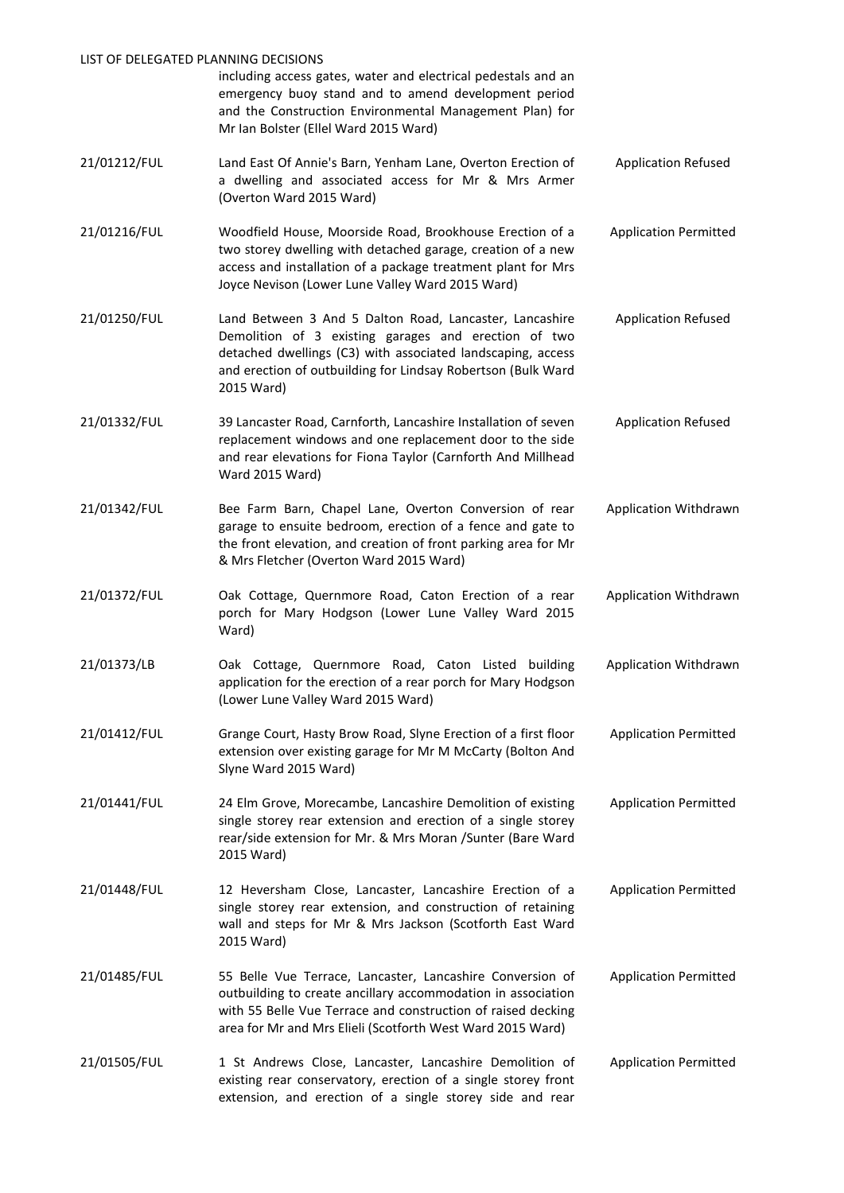| LIST OF DELEGATED PLANNING DECISIONS |                                                                                                                                                                                                                                                              |                              |
|--------------------------------------|--------------------------------------------------------------------------------------------------------------------------------------------------------------------------------------------------------------------------------------------------------------|------------------------------|
|                                      | including access gates, water and electrical pedestals and an<br>emergency buoy stand and to amend development period<br>and the Construction Environmental Management Plan) for<br>Mr Ian Bolster (Ellel Ward 2015 Ward)                                    |                              |
| 21/01212/FUL                         | Land East Of Annie's Barn, Yenham Lane, Overton Erection of<br>a dwelling and associated access for Mr & Mrs Armer<br>(Overton Ward 2015 Ward)                                                                                                               | <b>Application Refused</b>   |
| 21/01216/FUL                         | Woodfield House, Moorside Road, Brookhouse Erection of a<br>two storey dwelling with detached garage, creation of a new<br>access and installation of a package treatment plant for Mrs<br>Joyce Nevison (Lower Lune Valley Ward 2015 Ward)                  | <b>Application Permitted</b> |
| 21/01250/FUL                         | Land Between 3 And 5 Dalton Road, Lancaster, Lancashire<br>Demolition of 3 existing garages and erection of two<br>detached dwellings (C3) with associated landscaping, access<br>and erection of outbuilding for Lindsay Robertson (Bulk Ward<br>2015 Ward) | <b>Application Refused</b>   |
| 21/01332/FUL                         | 39 Lancaster Road, Carnforth, Lancashire Installation of seven<br>replacement windows and one replacement door to the side<br>and rear elevations for Fiona Taylor (Carnforth And Millhead<br>Ward 2015 Ward)                                                | <b>Application Refused</b>   |
| 21/01342/FUL                         | Bee Farm Barn, Chapel Lane, Overton Conversion of rear<br>garage to ensuite bedroom, erection of a fence and gate to<br>the front elevation, and creation of front parking area for Mr<br>& Mrs Fletcher (Overton Ward 2015 Ward)                            | Application Withdrawn        |
| 21/01372/FUL                         | Oak Cottage, Quernmore Road, Caton Erection of a rear<br>porch for Mary Hodgson (Lower Lune Valley Ward 2015<br>Ward)                                                                                                                                        | Application Withdrawn        |
| 21/01373/LB                          | Oak Cottage, Quernmore Road, Caton Listed building<br>application for the erection of a rear porch for Mary Hodgson<br>(Lower Lune Valley Ward 2015 Ward)                                                                                                    | Application Withdrawn        |
| 21/01412/FUL                         | Grange Court, Hasty Brow Road, Slyne Erection of a first floor<br>extension over existing garage for Mr M McCarty (Bolton And<br>Slyne Ward 2015 Ward)                                                                                                       | <b>Application Permitted</b> |
| 21/01441/FUL                         | 24 Elm Grove, Morecambe, Lancashire Demolition of existing<br>single storey rear extension and erection of a single storey<br>rear/side extension for Mr. & Mrs Moran /Sunter (Bare Ward<br>2015 Ward)                                                       | <b>Application Permitted</b> |
| 21/01448/FUL                         | 12 Heversham Close, Lancaster, Lancashire Erection of a<br>single storey rear extension, and construction of retaining<br>wall and steps for Mr & Mrs Jackson (Scotforth East Ward<br>2015 Ward)                                                             | <b>Application Permitted</b> |
| 21/01485/FUL                         | 55 Belle Vue Terrace, Lancaster, Lancashire Conversion of<br>outbuilding to create ancillary accommodation in association<br>with 55 Belle Vue Terrace and construction of raised decking<br>area for Mr and Mrs Elieli (Scotforth West Ward 2015 Ward)      | <b>Application Permitted</b> |
| 21/01505/FUL                         | 1 St Andrews Close, Lancaster, Lancashire Demolition of<br>existing rear conservatory, erection of a single storey front<br>extension, and erection of a single storey side and rear                                                                         | <b>Application Permitted</b> |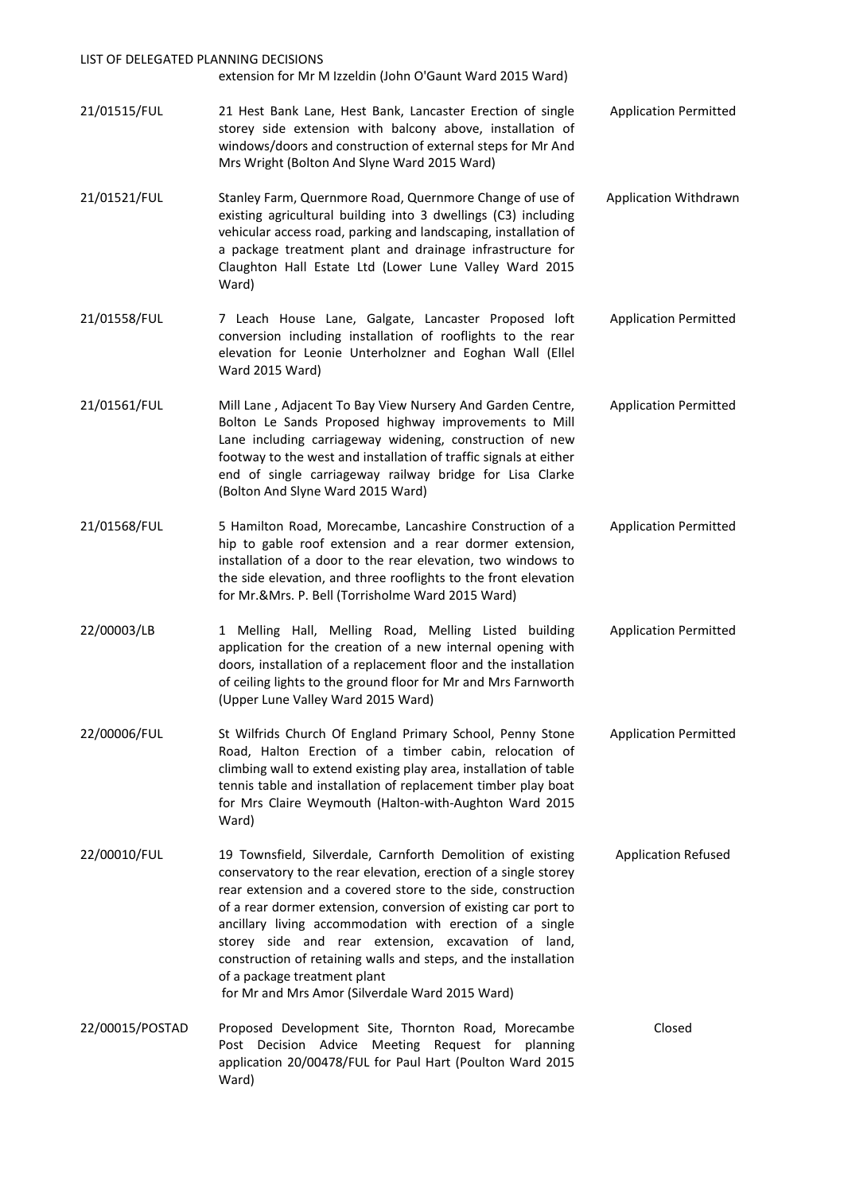| LIST OF DELEGATED PLANNING DECISIONS | extension for Mr M Izzeldin (John O'Gaunt Ward 2015 Ward)                                                                                                                                                                                                                                                                                                                                                                                                                                                                                 |                              |
|--------------------------------------|-------------------------------------------------------------------------------------------------------------------------------------------------------------------------------------------------------------------------------------------------------------------------------------------------------------------------------------------------------------------------------------------------------------------------------------------------------------------------------------------------------------------------------------------|------------------------------|
| 21/01515/FUL                         | 21 Hest Bank Lane, Hest Bank, Lancaster Erection of single<br>storey side extension with balcony above, installation of<br>windows/doors and construction of external steps for Mr And<br>Mrs Wright (Bolton And Slyne Ward 2015 Ward)                                                                                                                                                                                                                                                                                                    | <b>Application Permitted</b> |
| 21/01521/FUL                         | Stanley Farm, Quernmore Road, Quernmore Change of use of<br>existing agricultural building into 3 dwellings (C3) including<br>vehicular access road, parking and landscaping, installation of<br>a package treatment plant and drainage infrastructure for<br>Claughton Hall Estate Ltd (Lower Lune Valley Ward 2015<br>Ward)                                                                                                                                                                                                             | Application Withdrawn        |
| 21/01558/FUL                         | 7 Leach House Lane, Galgate, Lancaster Proposed loft<br>conversion including installation of rooflights to the rear<br>elevation for Leonie Unterholzner and Eoghan Wall (Ellel<br>Ward 2015 Ward)                                                                                                                                                                                                                                                                                                                                        | <b>Application Permitted</b> |
| 21/01561/FUL                         | Mill Lane, Adjacent To Bay View Nursery And Garden Centre,<br>Bolton Le Sands Proposed highway improvements to Mill<br>Lane including carriageway widening, construction of new<br>footway to the west and installation of traffic signals at either<br>end of single carriageway railway bridge for Lisa Clarke<br>(Bolton And Slyne Ward 2015 Ward)                                                                                                                                                                                     | <b>Application Permitted</b> |
| 21/01568/FUL                         | 5 Hamilton Road, Morecambe, Lancashire Construction of a<br>hip to gable roof extension and a rear dormer extension,<br>installation of a door to the rear elevation, two windows to<br>the side elevation, and three rooflights to the front elevation<br>for Mr.&Mrs. P. Bell (Torrisholme Ward 2015 Ward)                                                                                                                                                                                                                              | <b>Application Permitted</b> |
| 22/00003/LB                          | 1 Melling Hall, Melling Road, Melling Listed building<br>application for the creation of a new internal opening with<br>doors, installation of a replacement floor and the installation<br>of ceiling lights to the ground floor for Mr and Mrs Farnworth<br>(Upper Lune Valley Ward 2015 Ward)                                                                                                                                                                                                                                           | <b>Application Permitted</b> |
| 22/00006/FUL                         | St Wilfrids Church Of England Primary School, Penny Stone<br>Road, Halton Erection of a timber cabin, relocation of<br>climbing wall to extend existing play area, installation of table<br>tennis table and installation of replacement timber play boat<br>for Mrs Claire Weymouth (Halton-with-Aughton Ward 2015<br>Ward)                                                                                                                                                                                                              | <b>Application Permitted</b> |
| 22/00010/FUL                         | 19 Townsfield, Silverdale, Carnforth Demolition of existing<br>conservatory to the rear elevation, erection of a single storey<br>rear extension and a covered store to the side, construction<br>of a rear dormer extension, conversion of existing car port to<br>ancillary living accommodation with erection of a single<br>storey side and rear extension, excavation of land,<br>construction of retaining walls and steps, and the installation<br>of a package treatment plant<br>for Mr and Mrs Amor (Silverdale Ward 2015 Ward) | <b>Application Refused</b>   |
| 22/00015/POSTAD                      | Proposed Development Site, Thornton Road, Morecambe<br>Post Decision Advice Meeting Request for planning<br>application 20/00478/FUL for Paul Hart (Poulton Ward 2015<br>Ward)                                                                                                                                                                                                                                                                                                                                                            | Closed                       |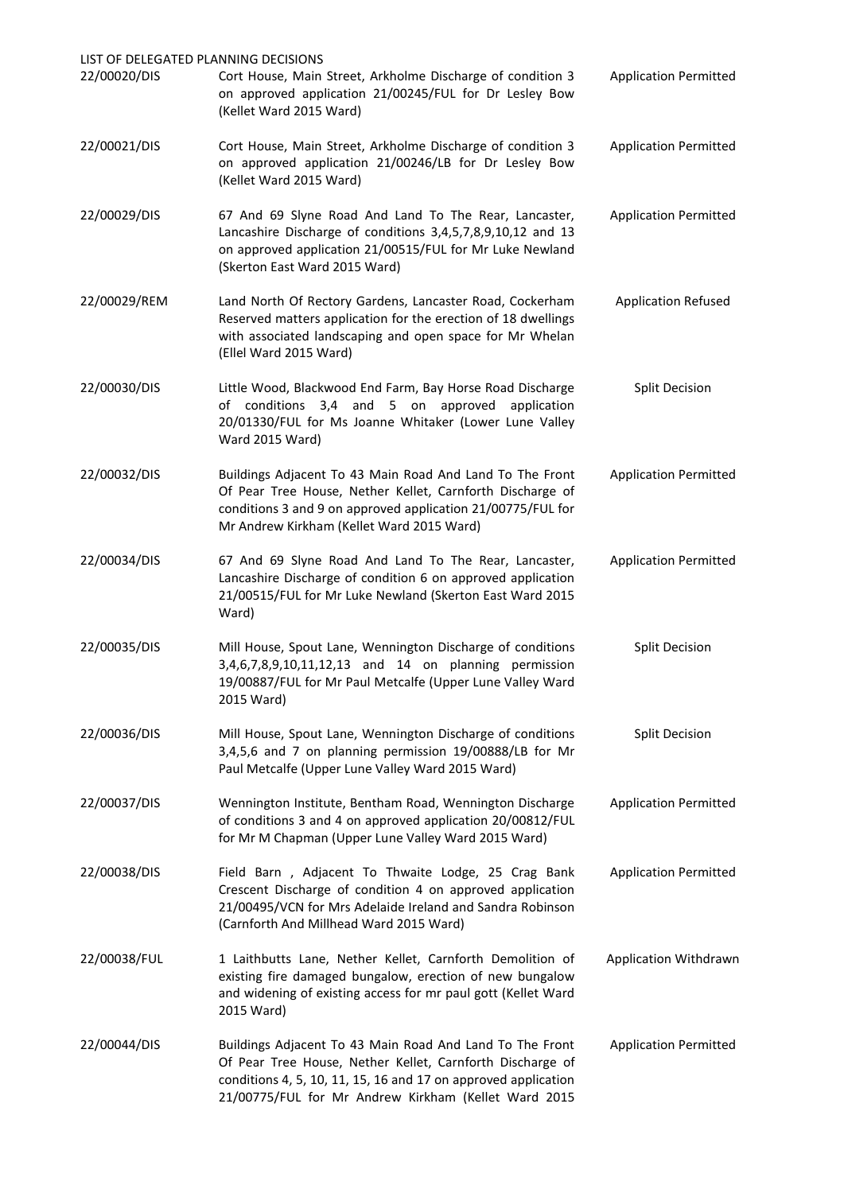| LIST OF DELEGATED PLANNING DECISIONS |                                                                                                                                                                                                                                                 |                              |
|--------------------------------------|-------------------------------------------------------------------------------------------------------------------------------------------------------------------------------------------------------------------------------------------------|------------------------------|
| 22/00020/DIS                         | Cort House, Main Street, Arkholme Discharge of condition 3<br>on approved application 21/00245/FUL for Dr Lesley Bow<br>(Kellet Ward 2015 Ward)                                                                                                 | <b>Application Permitted</b> |
| 22/00021/DIS                         | Cort House, Main Street, Arkholme Discharge of condition 3<br>on approved application 21/00246/LB for Dr Lesley Bow<br>(Kellet Ward 2015 Ward)                                                                                                  | <b>Application Permitted</b> |
| 22/00029/DIS                         | 67 And 69 Slyne Road And Land To The Rear, Lancaster,<br>Lancashire Discharge of conditions 3,4,5,7,8,9,10,12 and 13<br>on approved application 21/00515/FUL for Mr Luke Newland<br>(Skerton East Ward 2015 Ward)                               | <b>Application Permitted</b> |
| 22/00029/REM                         | Land North Of Rectory Gardens, Lancaster Road, Cockerham<br>Reserved matters application for the erection of 18 dwellings<br>with associated landscaping and open space for Mr Whelan<br>(Ellel Ward 2015 Ward)                                 | <b>Application Refused</b>   |
| 22/00030/DIS                         | Little Wood, Blackwood End Farm, Bay Horse Road Discharge<br>of conditions 3,4 and 5 on approved<br>application<br>20/01330/FUL for Ms Joanne Whitaker (Lower Lune Valley<br>Ward 2015 Ward)                                                    | <b>Split Decision</b>        |
| 22/00032/DIS                         | Buildings Adjacent To 43 Main Road And Land To The Front<br>Of Pear Tree House, Nether Kellet, Carnforth Discharge of<br>conditions 3 and 9 on approved application 21/00775/FUL for<br>Mr Andrew Kirkham (Kellet Ward 2015 Ward)               | <b>Application Permitted</b> |
| 22/00034/DIS                         | 67 And 69 Slyne Road And Land To The Rear, Lancaster,<br>Lancashire Discharge of condition 6 on approved application<br>21/00515/FUL for Mr Luke Newland (Skerton East Ward 2015<br>Ward)                                                       | <b>Application Permitted</b> |
| 22/00035/DIS                         | Mill House, Spout Lane, Wennington Discharge of conditions<br>3,4,6,7,8,9,10,11,12,13 and 14 on planning permission<br>19/00887/FUL for Mr Paul Metcalfe (Upper Lune Valley Ward<br>2015 Ward)                                                  | <b>Split Decision</b>        |
| 22/00036/DIS                         | Mill House, Spout Lane, Wennington Discharge of conditions<br>3,4,5,6 and 7 on planning permission 19/00888/LB for Mr<br>Paul Metcalfe (Upper Lune Valley Ward 2015 Ward)                                                                       | <b>Split Decision</b>        |
| 22/00037/DIS                         | Wennington Institute, Bentham Road, Wennington Discharge<br>of conditions 3 and 4 on approved application 20/00812/FUL<br>for Mr M Chapman (Upper Lune Valley Ward 2015 Ward)                                                                   | <b>Application Permitted</b> |
| 22/00038/DIS                         | Field Barn, Adjacent To Thwaite Lodge, 25 Crag Bank<br>Crescent Discharge of condition 4 on approved application<br>21/00495/VCN for Mrs Adelaide Ireland and Sandra Robinson<br>(Carnforth And Millhead Ward 2015 Ward)                        | <b>Application Permitted</b> |
| 22/00038/FUL                         | 1 Laithbutts Lane, Nether Kellet, Carnforth Demolition of<br>existing fire damaged bungalow, erection of new bungalow<br>and widening of existing access for mr paul gott (Kellet Ward<br>2015 Ward)                                            | Application Withdrawn        |
| 22/00044/DIS                         | Buildings Adjacent To 43 Main Road And Land To The Front<br>Of Pear Tree House, Nether Kellet, Carnforth Discharge of<br>conditions 4, 5, 10, 11, 15, 16 and 17 on approved application<br>21/00775/FUL for Mr Andrew Kirkham (Kellet Ward 2015 | <b>Application Permitted</b> |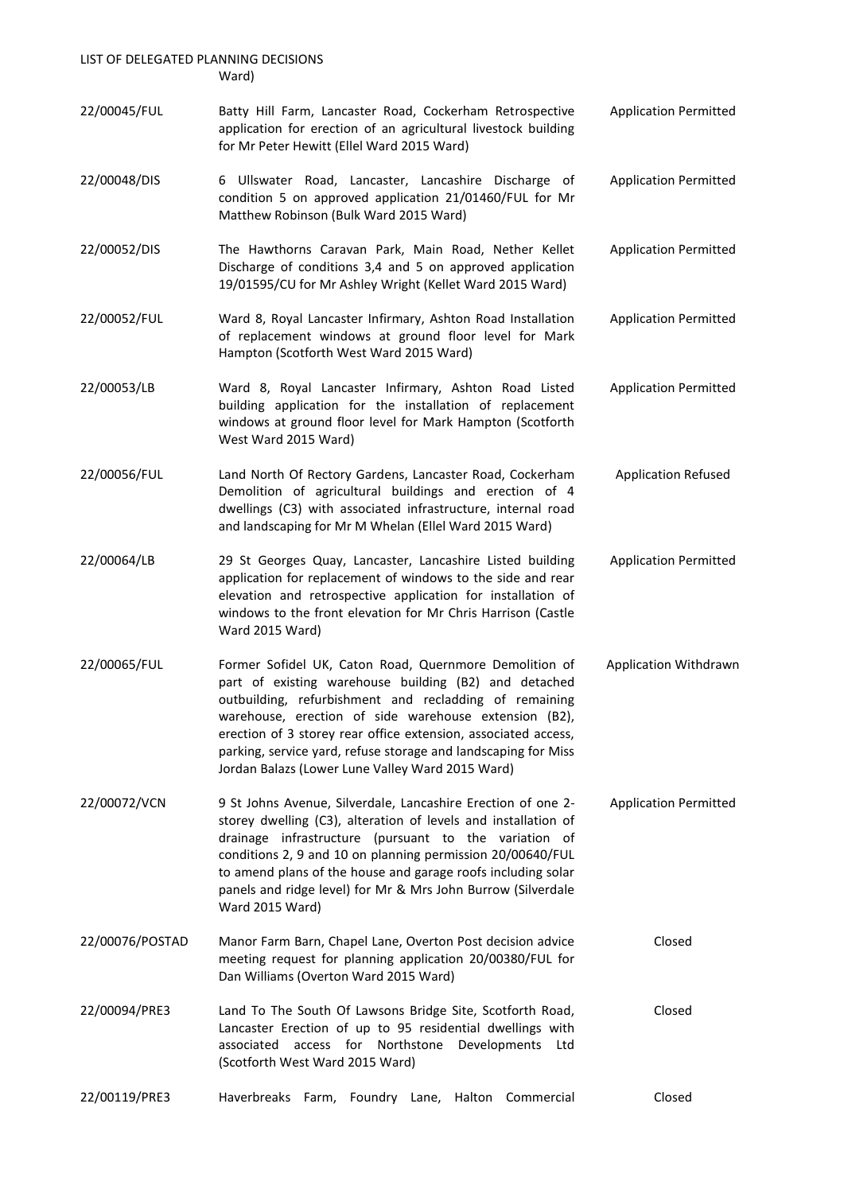LIST OF DELEGATED PLANNING DECISIONS Ward)

22/00045/FUL Batty Hill Farm, Lancaster Road, Cockerham Retrospective application for erection of an agricultural livestock building for Mr Peter Hewitt (Ellel Ward 2015 Ward) Application Permitted 22/00048/DIS 6 Ullswater Road, Lancaster, Lancashire Discharge of condition 5 on approved application 21/01460/FUL for Mr Matthew Robinson (Bulk Ward 2015 Ward) Application Permitted 22/00052/DIS The Hawthorns Caravan Park, Main Road, Nether Kellet Discharge of conditions 3,4 and 5 on approved application 19/01595/CU for Mr Ashley Wright (Kellet Ward 2015 Ward) Application Permitted 22/00052/FUL Ward 8, Royal Lancaster Infirmary, Ashton Road Installation of replacement windows at ground floor level for Mark Hampton (Scotforth West Ward 2015 Ward) Application Permitted 22/00053/LB Ward 8, Royal Lancaster Infirmary, Ashton Road Listed building application for the installation of replacement windows at ground floor level for Mark Hampton (Scotforth West Ward 2015 Ward) Application Permitted 22/00056/FUL Land North Of Rectory Gardens, Lancaster Road, Cockerham Demolition of agricultural buildings and erection of 4 dwellings (C3) with associated infrastructure, internal road and landscaping for Mr M Whelan (Ellel Ward 2015 Ward) Application Refused 22/00064/LB 29 St Georges Quay, Lancaster, Lancashire Listed building application for replacement of windows to the side and rear elevation and retrospective application for installation of windows to the front elevation for Mr Chris Harrison (Castle Ward 2015 Ward) Application Permitted 22/00065/FUL Former Sofidel UK, Caton Road, Quernmore Demolition of part of existing warehouse building (B2) and detached outbuilding, refurbishment and recladding of remaining warehouse, erection of side warehouse extension (B2), erection of 3 storey rear office extension, associated access, parking, service yard, refuse storage and landscaping for Miss Jordan Balazs (Lower Lune Valley Ward 2015 Ward) Application Withdrawn 22/00072/VCN 9 St Johns Avenue, Silverdale, Lancashire Erection of one 2 storey dwelling (C3), alteration of levels and installation of drainage infrastructure (pursuant to the variation of conditions 2, 9 and 10 on planning permission 20/00640/FUL to amend plans of the house and garage roofs including solar panels and ridge level) for Mr & Mrs John Burrow (Silverdale Ward 2015 Ward) Application Permitted 22/00076/POSTAD Manor Farm Barn, Chapel Lane, Overton Post decision advice meeting request for planning application 20/00380/FUL for Dan Williams (Overton Ward 2015 Ward) Closed 22/00094/PRE3 Land To The South Of Lawsons Bridge Site, Scotforth Road, Lancaster Erection of up to 95 residential dwellings with associated access for Northstone Developments Ltd (Scotforth West Ward 2015 Ward) Closed 22/00119/PRE3 Haverbreaks Farm, Foundry Lane, Halton Commercial Closed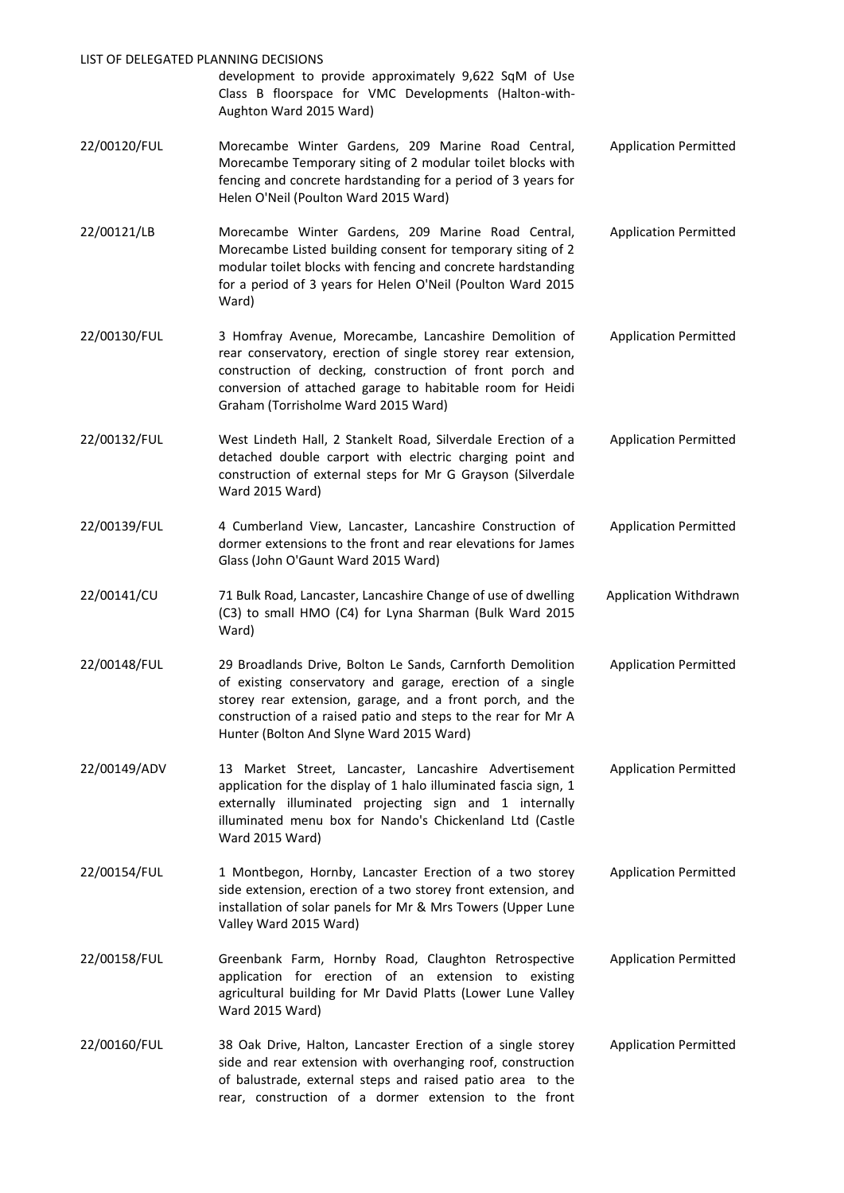| LIST OF DELEGATED PLANNING DECISIONS | development to provide approximately 9,622 SqM of Use<br>Class B floorspace for VMC Developments (Halton-with-<br>Aughton Ward 2015 Ward)                                                                                                                                                         |                              |
|--------------------------------------|---------------------------------------------------------------------------------------------------------------------------------------------------------------------------------------------------------------------------------------------------------------------------------------------------|------------------------------|
| 22/00120/FUL                         | Morecambe Winter Gardens, 209 Marine Road Central,<br>Morecambe Temporary siting of 2 modular toilet blocks with<br>fencing and concrete hardstanding for a period of 3 years for<br>Helen O'Neil (Poulton Ward 2015 Ward)                                                                        | <b>Application Permitted</b> |
| 22/00121/LB                          | Morecambe Winter Gardens, 209 Marine Road Central,<br>Morecambe Listed building consent for temporary siting of 2<br>modular toilet blocks with fencing and concrete hardstanding<br>for a period of 3 years for Helen O'Neil (Poulton Ward 2015<br>Ward)                                         | <b>Application Permitted</b> |
| 22/00130/FUL                         | 3 Homfray Avenue, Morecambe, Lancashire Demolition of<br>rear conservatory, erection of single storey rear extension,<br>construction of decking, construction of front porch and<br>conversion of attached garage to habitable room for Heidi<br>Graham (Torrisholme Ward 2015 Ward)             | <b>Application Permitted</b> |
| 22/00132/FUL                         | West Lindeth Hall, 2 Stankelt Road, Silverdale Erection of a<br>detached double carport with electric charging point and<br>construction of external steps for Mr G Grayson (Silverdale<br>Ward 2015 Ward)                                                                                        | <b>Application Permitted</b> |
| 22/00139/FUL                         | 4 Cumberland View, Lancaster, Lancashire Construction of<br>dormer extensions to the front and rear elevations for James<br>Glass (John O'Gaunt Ward 2015 Ward)                                                                                                                                   | <b>Application Permitted</b> |
| 22/00141/CU                          | 71 Bulk Road, Lancaster, Lancashire Change of use of dwelling<br>(C3) to small HMO (C4) for Lyna Sharman (Bulk Ward 2015<br>Ward)                                                                                                                                                                 | Application Withdrawn        |
| 22/00148/FUL                         | 29 Broadlands Drive, Bolton Le Sands, Carnforth Demolition<br>of existing conservatory and garage, erection of a single<br>storey rear extension, garage, and a front porch, and the<br>construction of a raised patio and steps to the rear for Mr A<br>Hunter (Bolton And Slyne Ward 2015 Ward) | <b>Application Permitted</b> |
| 22/00149/ADV                         | 13 Market Street, Lancaster, Lancashire Advertisement<br>application for the display of 1 halo illuminated fascia sign, 1<br>externally illuminated projecting sign and 1 internally<br>illuminated menu box for Nando's Chickenland Ltd (Castle<br>Ward 2015 Ward)                               | <b>Application Permitted</b> |
| 22/00154/FUL                         | 1 Montbegon, Hornby, Lancaster Erection of a two storey<br>side extension, erection of a two storey front extension, and<br>installation of solar panels for Mr & Mrs Towers (Upper Lune<br>Valley Ward 2015 Ward)                                                                                | <b>Application Permitted</b> |
| 22/00158/FUL                         | Greenbank Farm, Hornby Road, Claughton Retrospective<br>application for erection of an extension to existing<br>agricultural building for Mr David Platts (Lower Lune Valley<br>Ward 2015 Ward)                                                                                                   | <b>Application Permitted</b> |
| 22/00160/FUL                         | 38 Oak Drive, Halton, Lancaster Erection of a single storey<br>side and rear extension with overhanging roof, construction<br>of balustrade, external steps and raised patio area to the<br>rear, construction of a dormer extension to the front                                                 | <b>Application Permitted</b> |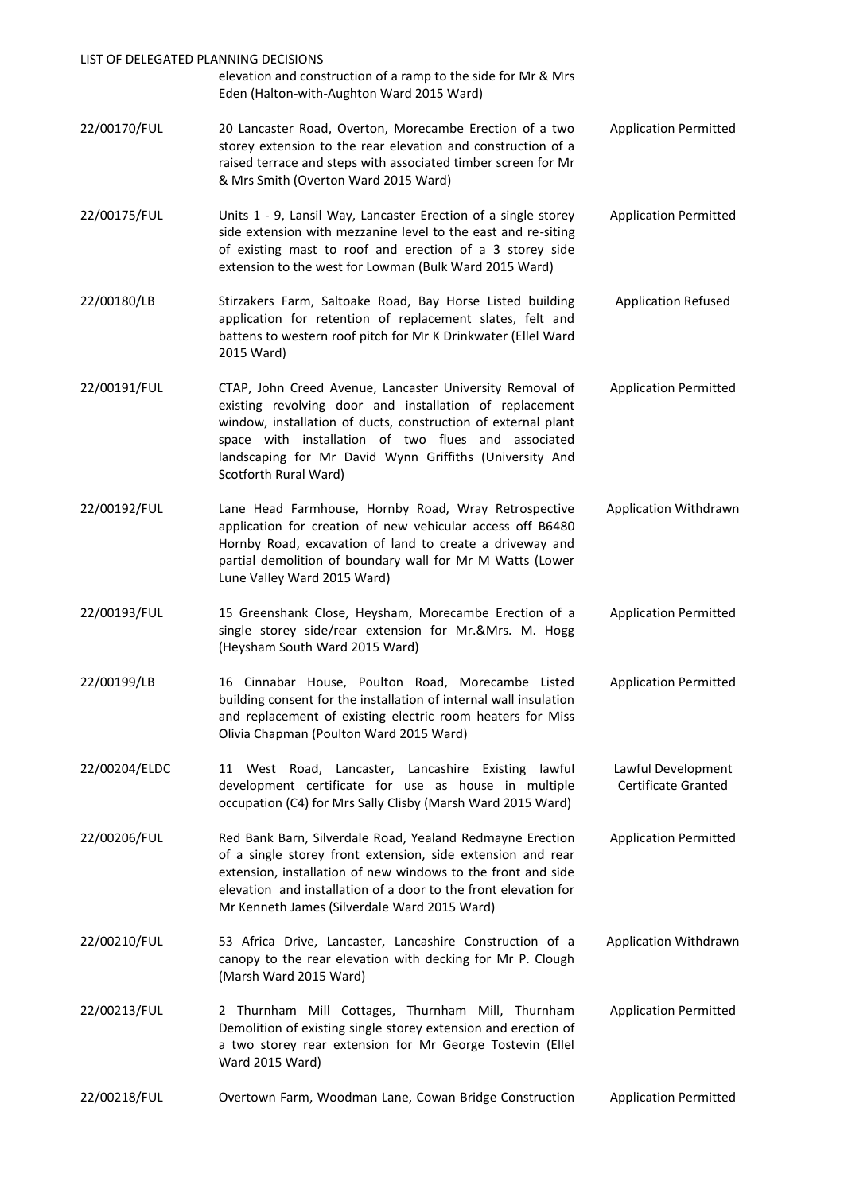| LIST OF DELEGATED PLANNING DECISIONS |                                                                                                                                                                                                                                                                                                                                 |                                           |
|--------------------------------------|---------------------------------------------------------------------------------------------------------------------------------------------------------------------------------------------------------------------------------------------------------------------------------------------------------------------------------|-------------------------------------------|
|                                      | elevation and construction of a ramp to the side for Mr & Mrs<br>Eden (Halton-with-Aughton Ward 2015 Ward)                                                                                                                                                                                                                      |                                           |
| 22/00170/FUL                         | 20 Lancaster Road, Overton, Morecambe Erection of a two<br>storey extension to the rear elevation and construction of a<br>raised terrace and steps with associated timber screen for Mr<br>& Mrs Smith (Overton Ward 2015 Ward)                                                                                                | <b>Application Permitted</b>              |
| 22/00175/FUL                         | Units 1 - 9, Lansil Way, Lancaster Erection of a single storey<br>side extension with mezzanine level to the east and re-siting<br>of existing mast to roof and erection of a 3 storey side<br>extension to the west for Lowman (Bulk Ward 2015 Ward)                                                                           | <b>Application Permitted</b>              |
| 22/00180/LB                          | Stirzakers Farm, Saltoake Road, Bay Horse Listed building<br>application for retention of replacement slates, felt and<br>battens to western roof pitch for Mr K Drinkwater (Ellel Ward<br>2015 Ward)                                                                                                                           | <b>Application Refused</b>                |
| 22/00191/FUL                         | CTAP, John Creed Avenue, Lancaster University Removal of<br>existing revolving door and installation of replacement<br>window, installation of ducts, construction of external plant<br>space with installation of two flues and associated<br>landscaping for Mr David Wynn Griffiths (University And<br>Scotforth Rural Ward) | <b>Application Permitted</b>              |
| 22/00192/FUL                         | Lane Head Farmhouse, Hornby Road, Wray Retrospective<br>application for creation of new vehicular access off B6480<br>Hornby Road, excavation of land to create a driveway and<br>partial demolition of boundary wall for Mr M Watts (Lower<br>Lune Valley Ward 2015 Ward)                                                      | Application Withdrawn                     |
| 22/00193/FUL                         | 15 Greenshank Close, Heysham, Morecambe Erection of a<br>single storey side/rear extension for Mr.&Mrs. M. Hogg<br>(Heysham South Ward 2015 Ward)                                                                                                                                                                               | <b>Application Permitted</b>              |
| 22/00199/LB                          | 16 Cinnabar House, Poulton Road, Morecambe Listed<br>building consent for the installation of internal wall insulation<br>and replacement of existing electric room heaters for Miss<br>Olivia Chapman (Poulton Ward 2015 Ward)                                                                                                 | <b>Application Permitted</b>              |
| 22/00204/ELDC                        | 11 West Road, Lancaster, Lancashire Existing lawful<br>development certificate for use as house in multiple<br>occupation (C4) for Mrs Sally Clisby (Marsh Ward 2015 Ward)                                                                                                                                                      | Lawful Development<br>Certificate Granted |
| 22/00206/FUL                         | Red Bank Barn, Silverdale Road, Yealand Redmayne Erection<br>of a single storey front extension, side extension and rear<br>extension, installation of new windows to the front and side<br>elevation and installation of a door to the front elevation for<br>Mr Kenneth James (Silverdale Ward 2015 Ward)                     | <b>Application Permitted</b>              |
| 22/00210/FUL                         | 53 Africa Drive, Lancaster, Lancashire Construction of a<br>canopy to the rear elevation with decking for Mr P. Clough<br>(Marsh Ward 2015 Ward)                                                                                                                                                                                | Application Withdrawn                     |
| 22/00213/FUL                         | 2 Thurnham Mill Cottages, Thurnham Mill, Thurnham<br>Demolition of existing single storey extension and erection of<br>a two storey rear extension for Mr George Tostevin (Ellel<br>Ward 2015 Ward)                                                                                                                             | <b>Application Permitted</b>              |
| 22/00218/FUL                         | Overtown Farm, Woodman Lane, Cowan Bridge Construction                                                                                                                                                                                                                                                                          | <b>Application Permitted</b>              |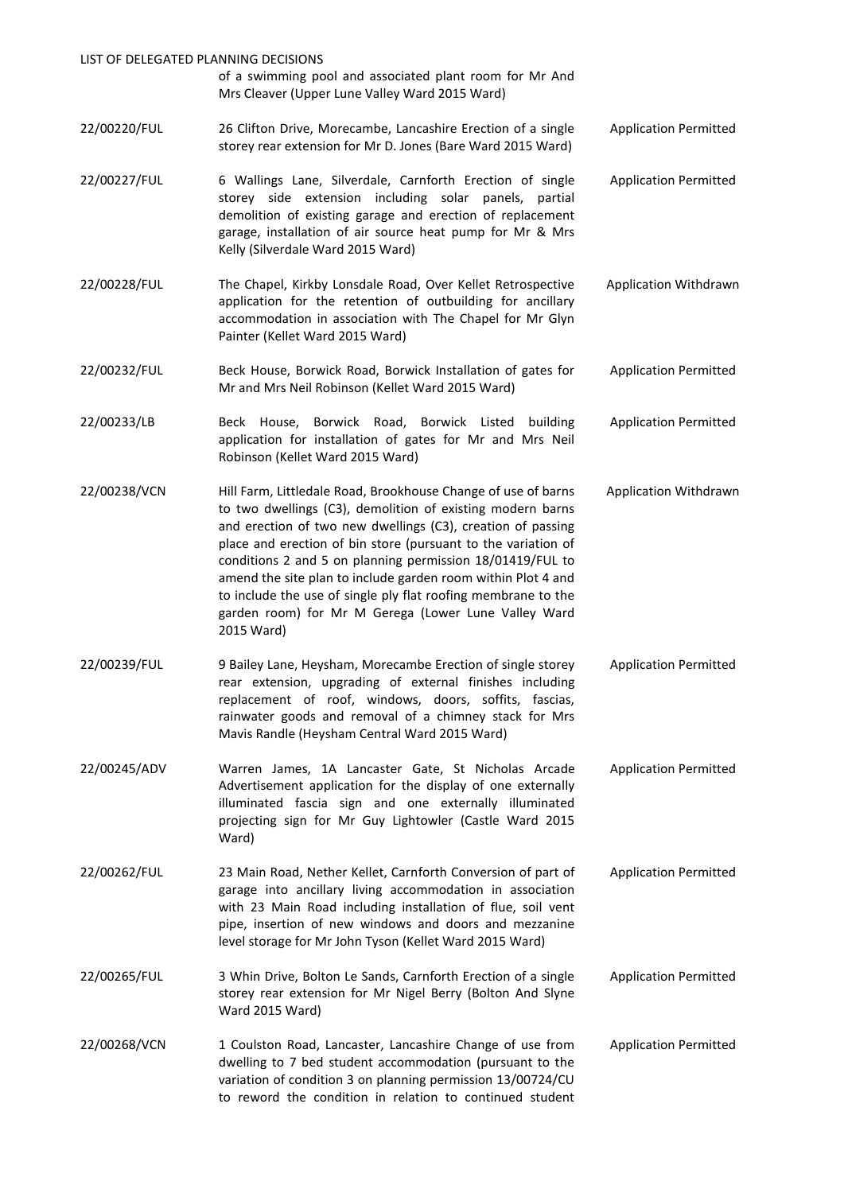| LIST OF DELEGATED PLANNING DECISIONS | of a swimming pool and associated plant room for Mr And<br>Mrs Cleaver (Upper Lune Valley Ward 2015 Ward)                                                                                                                                                                                                                                                                                                                                                                                                                       |                              |
|--------------------------------------|---------------------------------------------------------------------------------------------------------------------------------------------------------------------------------------------------------------------------------------------------------------------------------------------------------------------------------------------------------------------------------------------------------------------------------------------------------------------------------------------------------------------------------|------------------------------|
| 22/00220/FUL                         | 26 Clifton Drive, Morecambe, Lancashire Erection of a single<br>storey rear extension for Mr D. Jones (Bare Ward 2015 Ward)                                                                                                                                                                                                                                                                                                                                                                                                     | <b>Application Permitted</b> |
| 22/00227/FUL                         | 6 Wallings Lane, Silverdale, Carnforth Erection of single<br>storey side extension including solar panels, partial<br>demolition of existing garage and erection of replacement<br>garage, installation of air source heat pump for Mr & Mrs<br>Kelly (Silverdale Ward 2015 Ward)                                                                                                                                                                                                                                               | <b>Application Permitted</b> |
| 22/00228/FUL                         | The Chapel, Kirkby Lonsdale Road, Over Kellet Retrospective<br>application for the retention of outbuilding for ancillary<br>accommodation in association with The Chapel for Mr Glyn<br>Painter (Kellet Ward 2015 Ward)                                                                                                                                                                                                                                                                                                        | Application Withdrawn        |
| 22/00232/FUL                         | Beck House, Borwick Road, Borwick Installation of gates for<br>Mr and Mrs Neil Robinson (Kellet Ward 2015 Ward)                                                                                                                                                                                                                                                                                                                                                                                                                 | <b>Application Permitted</b> |
| 22/00233/LB                          | Beck House,<br>Borwick Road, Borwick Listed<br>building<br>application for installation of gates for Mr and Mrs Neil<br>Robinson (Kellet Ward 2015 Ward)                                                                                                                                                                                                                                                                                                                                                                        | <b>Application Permitted</b> |
| 22/00238/VCN                         | Hill Farm, Littledale Road, Brookhouse Change of use of barns<br>to two dwellings (C3), demolition of existing modern barns<br>and erection of two new dwellings (C3), creation of passing<br>place and erection of bin store (pursuant to the variation of<br>conditions 2 and 5 on planning permission 18/01419/FUL to<br>amend the site plan to include garden room within Plot 4 and<br>to include the use of single ply flat roofing membrane to the<br>garden room) for Mr M Gerega (Lower Lune Valley Ward<br>2015 Ward) | Application Withdrawn        |
| 22/00239/FUL                         | 9 Bailey Lane, Heysham, Morecambe Erection of single storey<br>rear extension, upgrading of external finishes including<br>replacement of roof, windows, doors, soffits, fascias,<br>rainwater goods and removal of a chimney stack for Mrs<br>Mavis Randle (Heysham Central Ward 2015 Ward)                                                                                                                                                                                                                                    | <b>Application Permitted</b> |
| 22/00245/ADV                         | Warren James, 1A Lancaster Gate, St Nicholas Arcade<br>Advertisement application for the display of one externally<br>illuminated fascia sign and one externally illuminated<br>projecting sign for Mr Guy Lightowler (Castle Ward 2015<br>Ward)                                                                                                                                                                                                                                                                                | <b>Application Permitted</b> |
| 22/00262/FUL                         | 23 Main Road, Nether Kellet, Carnforth Conversion of part of<br>garage into ancillary living accommodation in association<br>with 23 Main Road including installation of flue, soil vent<br>pipe, insertion of new windows and doors and mezzanine<br>level storage for Mr John Tyson (Kellet Ward 2015 Ward)                                                                                                                                                                                                                   | <b>Application Permitted</b> |
| 22/00265/FUL                         | 3 Whin Drive, Bolton Le Sands, Carnforth Erection of a single<br>storey rear extension for Mr Nigel Berry (Bolton And Slyne<br>Ward 2015 Ward)                                                                                                                                                                                                                                                                                                                                                                                  | <b>Application Permitted</b> |
| 22/00268/VCN                         | 1 Coulston Road, Lancaster, Lancashire Change of use from<br>dwelling to 7 bed student accommodation (pursuant to the<br>variation of condition 3 on planning permission 13/00724/CU<br>to reword the condition in relation to continued student                                                                                                                                                                                                                                                                                | <b>Application Permitted</b> |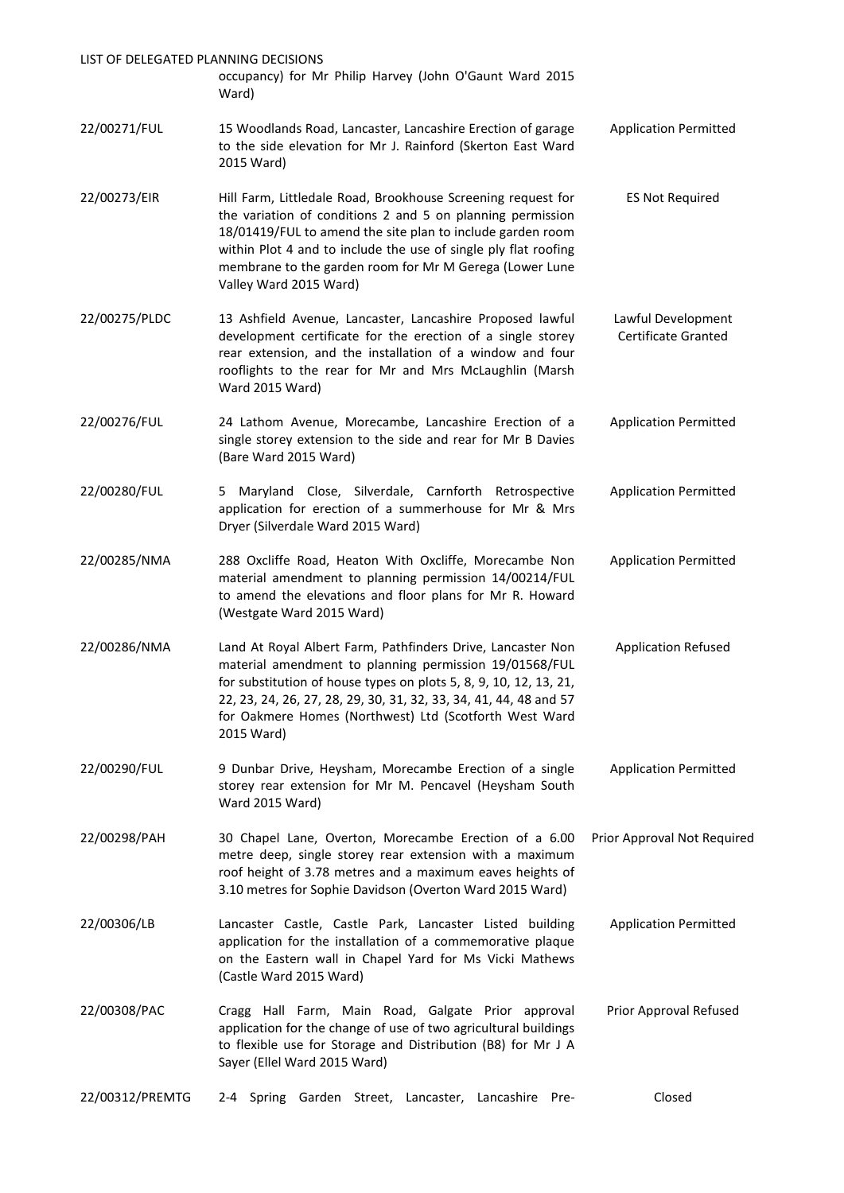| LIST OF DELEGATED PLANNING DECISIONS | occupancy) for Mr Philip Harvey (John O'Gaunt Ward 2015                                                                                                                                                                                                                                                                                          |                                           |
|--------------------------------------|--------------------------------------------------------------------------------------------------------------------------------------------------------------------------------------------------------------------------------------------------------------------------------------------------------------------------------------------------|-------------------------------------------|
|                                      | Ward)                                                                                                                                                                                                                                                                                                                                            |                                           |
| 22/00271/FUL                         | 15 Woodlands Road, Lancaster, Lancashire Erection of garage<br>to the side elevation for Mr J. Rainford (Skerton East Ward<br>2015 Ward)                                                                                                                                                                                                         | <b>Application Permitted</b>              |
| 22/00273/EIR                         | Hill Farm, Littledale Road, Brookhouse Screening request for<br>the variation of conditions 2 and 5 on planning permission<br>18/01419/FUL to amend the site plan to include garden room<br>within Plot 4 and to include the use of single ply flat roofing<br>membrane to the garden room for Mr M Gerega (Lower Lune<br>Valley Ward 2015 Ward) | <b>ES Not Required</b>                    |
| 22/00275/PLDC                        | 13 Ashfield Avenue, Lancaster, Lancashire Proposed lawful<br>development certificate for the erection of a single storey<br>rear extension, and the installation of a window and four<br>rooflights to the rear for Mr and Mrs McLaughlin (Marsh<br>Ward 2015 Ward)                                                                              | Lawful Development<br>Certificate Granted |
| 22/00276/FUL                         | 24 Lathom Avenue, Morecambe, Lancashire Erection of a<br>single storey extension to the side and rear for Mr B Davies<br>(Bare Ward 2015 Ward)                                                                                                                                                                                                   | <b>Application Permitted</b>              |
| 22/00280/FUL                         | 5 Maryland Close, Silverdale, Carnforth Retrospective<br>application for erection of a summerhouse for Mr & Mrs<br>Dryer (Silverdale Ward 2015 Ward)                                                                                                                                                                                             | <b>Application Permitted</b>              |
| 22/00285/NMA                         | 288 Oxcliffe Road, Heaton With Oxcliffe, Morecambe Non<br>material amendment to planning permission 14/00214/FUL<br>to amend the elevations and floor plans for Mr R. Howard<br>(Westgate Ward 2015 Ward)                                                                                                                                        | <b>Application Permitted</b>              |
| 22/00286/NMA                         | Land At Royal Albert Farm, Pathfinders Drive, Lancaster Non<br>material amendment to planning permission 19/01568/FUL<br>for substitution of house types on plots 5, 8, 9, 10, 12, 13, 21,<br>22, 23, 24, 26, 27, 28, 29, 30, 31, 32, 33, 34, 41, 44, 48 and 57<br>for Oakmere Homes (Northwest) Ltd (Scotforth West Ward<br>2015 Ward)          | <b>Application Refused</b>                |
| 22/00290/FUL                         | 9 Dunbar Drive, Heysham, Morecambe Erection of a single<br>storey rear extension for Mr M. Pencavel (Heysham South<br>Ward 2015 Ward)                                                                                                                                                                                                            | <b>Application Permitted</b>              |
| 22/00298/PAH                         | 30 Chapel Lane, Overton, Morecambe Erection of a 6.00<br>metre deep, single storey rear extension with a maximum<br>roof height of 3.78 metres and a maximum eaves heights of<br>3.10 metres for Sophie Davidson (Overton Ward 2015 Ward)                                                                                                        | Prior Approval Not Required               |
| 22/00306/LB                          | Lancaster Castle, Castle Park, Lancaster Listed building<br>application for the installation of a commemorative plaque<br>on the Eastern wall in Chapel Yard for Ms Vicki Mathews<br>(Castle Ward 2015 Ward)                                                                                                                                     | <b>Application Permitted</b>              |
| 22/00308/PAC                         | Cragg Hall Farm, Main Road, Galgate Prior approval<br>application for the change of use of two agricultural buildings<br>to flexible use for Storage and Distribution (B8) for Mr J A<br>Sayer (Ellel Ward 2015 Ward)                                                                                                                            | Prior Approval Refused                    |
| 22/00312/PREMTG                      | Spring Garden Street, Lancaster, Lancashire<br>Pre-<br>2-4                                                                                                                                                                                                                                                                                       | Closed                                    |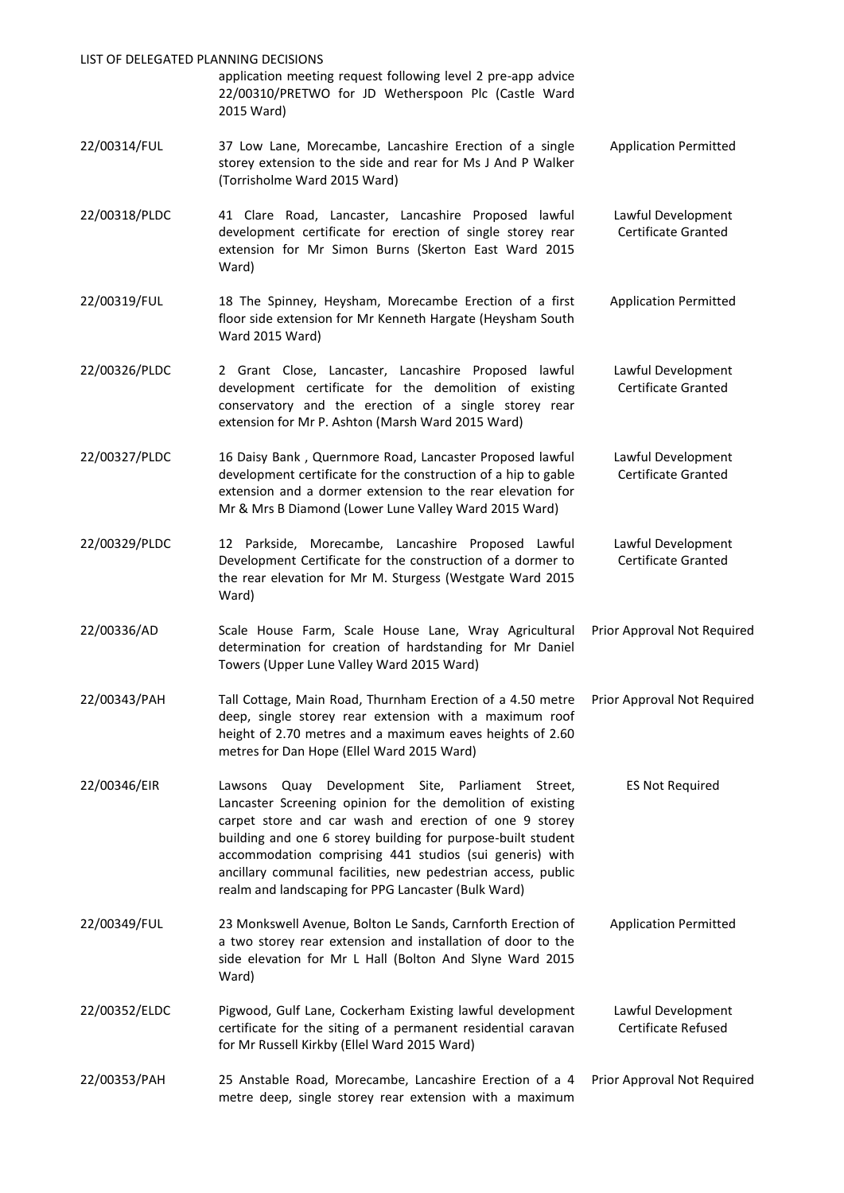| LIST OF DELEGATED PLANNING DECISIONS |                                                                                                                                                                                                                                                                                                                                                                                                                                |                                           |
|--------------------------------------|--------------------------------------------------------------------------------------------------------------------------------------------------------------------------------------------------------------------------------------------------------------------------------------------------------------------------------------------------------------------------------------------------------------------------------|-------------------------------------------|
|                                      | application meeting request following level 2 pre-app advice<br>22/00310/PRETWO for JD Wetherspoon Plc (Castle Ward<br>2015 Ward)                                                                                                                                                                                                                                                                                              |                                           |
| 22/00314/FUL                         | 37 Low Lane, Morecambe, Lancashire Erection of a single<br>storey extension to the side and rear for Ms J And P Walker<br>(Torrisholme Ward 2015 Ward)                                                                                                                                                                                                                                                                         | <b>Application Permitted</b>              |
| 22/00318/PLDC                        | 41 Clare Road, Lancaster, Lancashire Proposed lawful<br>development certificate for erection of single storey rear<br>extension for Mr Simon Burns (Skerton East Ward 2015<br>Ward)                                                                                                                                                                                                                                            | Lawful Development<br>Certificate Granted |
| 22/00319/FUL                         | 18 The Spinney, Heysham, Morecambe Erection of a first<br>floor side extension for Mr Kenneth Hargate (Heysham South<br>Ward 2015 Ward)                                                                                                                                                                                                                                                                                        | <b>Application Permitted</b>              |
| 22/00326/PLDC                        | 2 Grant Close, Lancaster, Lancashire Proposed lawful<br>development certificate for the demolition of existing<br>conservatory and the erection of a single storey rear<br>extension for Mr P. Ashton (Marsh Ward 2015 Ward)                                                                                                                                                                                                   | Lawful Development<br>Certificate Granted |
| 22/00327/PLDC                        | 16 Daisy Bank, Quernmore Road, Lancaster Proposed lawful<br>development certificate for the construction of a hip to gable<br>extension and a dormer extension to the rear elevation for<br>Mr & Mrs B Diamond (Lower Lune Valley Ward 2015 Ward)                                                                                                                                                                              | Lawful Development<br>Certificate Granted |
| 22/00329/PLDC                        | 12 Parkside, Morecambe, Lancashire Proposed Lawful<br>Development Certificate for the construction of a dormer to<br>the rear elevation for Mr M. Sturgess (Westgate Ward 2015<br>Ward)                                                                                                                                                                                                                                        | Lawful Development<br>Certificate Granted |
| 22/00336/AD                          | Scale House Farm, Scale House Lane, Wray Agricultural<br>determination for creation of hardstanding for Mr Daniel<br>Towers (Upper Lune Valley Ward 2015 Ward)                                                                                                                                                                                                                                                                 | Prior Approval Not Required               |
| 22/00343/PAH                         | Tall Cottage, Main Road, Thurnham Erection of a 4.50 metre<br>deep, single storey rear extension with a maximum roof<br>height of 2.70 metres and a maximum eaves heights of 2.60<br>metres for Dan Hope (Ellel Ward 2015 Ward)                                                                                                                                                                                                | Prior Approval Not Required               |
| 22/00346/EIR                         | Quay Development Site, Parliament Street,<br>Lawsons<br>Lancaster Screening opinion for the demolition of existing<br>carpet store and car wash and erection of one 9 storey<br>building and one 6 storey building for purpose-built student<br>accommodation comprising 441 studios (sui generis) with<br>ancillary communal facilities, new pedestrian access, public<br>realm and landscaping for PPG Lancaster (Bulk Ward) | <b>ES Not Required</b>                    |
| 22/00349/FUL                         | 23 Monkswell Avenue, Bolton Le Sands, Carnforth Erection of<br>a two storey rear extension and installation of door to the<br>side elevation for Mr L Hall (Bolton And Slyne Ward 2015<br>Ward)                                                                                                                                                                                                                                | <b>Application Permitted</b>              |
| 22/00352/ELDC                        | Pigwood, Gulf Lane, Cockerham Existing lawful development<br>certificate for the siting of a permanent residential caravan<br>for Mr Russell Kirkby (Ellel Ward 2015 Ward)                                                                                                                                                                                                                                                     | Lawful Development<br>Certificate Refused |
| 22/00353/PAH                         | 25 Anstable Road, Morecambe, Lancashire Erection of a 4<br>metre deep, single storey rear extension with a maximum                                                                                                                                                                                                                                                                                                             | Prior Approval Not Required               |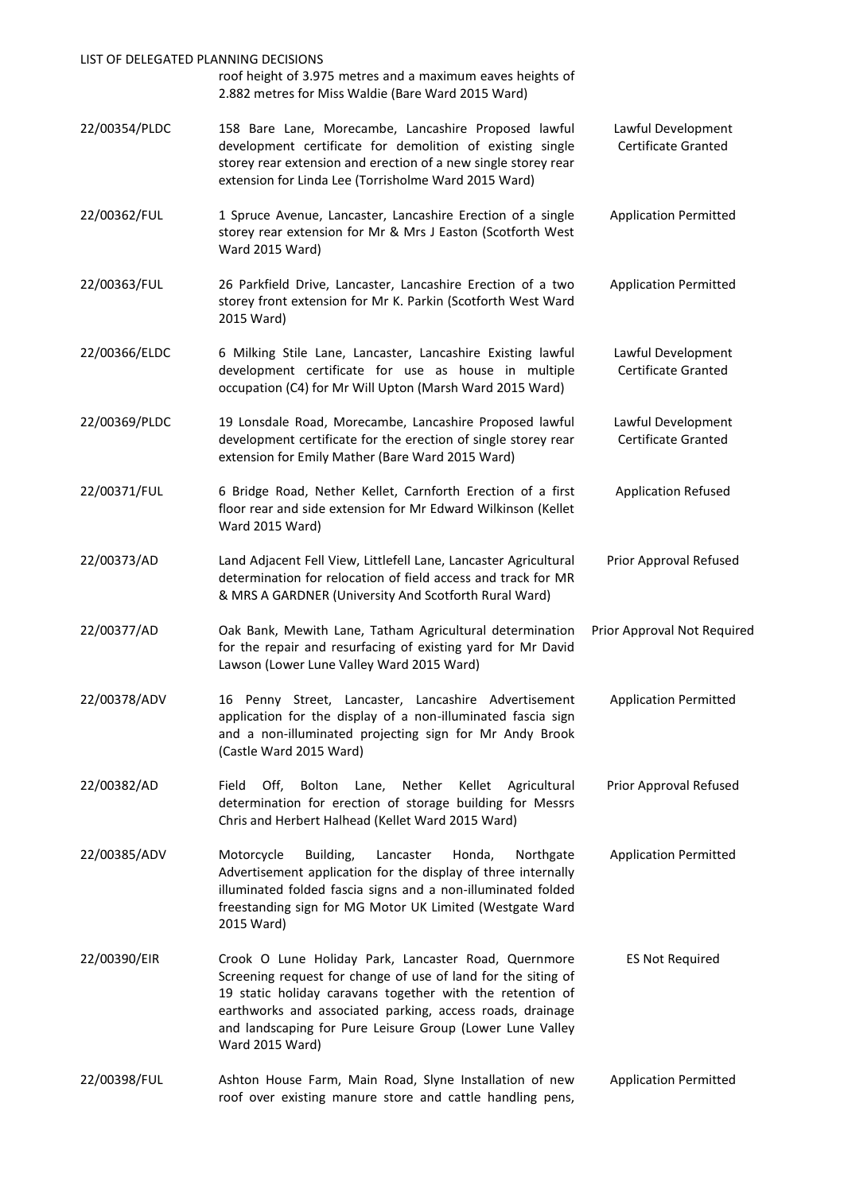| LIST OF DELEGATED PLANNING DECISIONS | roof height of 3.975 metres and a maximum eaves heights of<br>2.882 metres for Miss Waldie (Bare Ward 2015 Ward)                                                                                                                                                                                                                |                                                  |
|--------------------------------------|---------------------------------------------------------------------------------------------------------------------------------------------------------------------------------------------------------------------------------------------------------------------------------------------------------------------------------|--------------------------------------------------|
| 22/00354/PLDC                        | 158 Bare Lane, Morecambe, Lancashire Proposed lawful<br>development certificate for demolition of existing single<br>storey rear extension and erection of a new single storey rear<br>extension for Linda Lee (Torrisholme Ward 2015 Ward)                                                                                     | Lawful Development<br><b>Certificate Granted</b> |
| 22/00362/FUL                         | 1 Spruce Avenue, Lancaster, Lancashire Erection of a single<br>storey rear extension for Mr & Mrs J Easton (Scotforth West<br>Ward 2015 Ward)                                                                                                                                                                                   | <b>Application Permitted</b>                     |
| 22/00363/FUL                         | 26 Parkfield Drive, Lancaster, Lancashire Erection of a two<br>storey front extension for Mr K. Parkin (Scotforth West Ward<br>2015 Ward)                                                                                                                                                                                       | <b>Application Permitted</b>                     |
| 22/00366/ELDC                        | 6 Milking Stile Lane, Lancaster, Lancashire Existing lawful<br>development certificate for use as house in multiple<br>occupation (C4) for Mr Will Upton (Marsh Ward 2015 Ward)                                                                                                                                                 | Lawful Development<br>Certificate Granted        |
| 22/00369/PLDC                        | 19 Lonsdale Road, Morecambe, Lancashire Proposed lawful<br>development certificate for the erection of single storey rear<br>extension for Emily Mather (Bare Ward 2015 Ward)                                                                                                                                                   | Lawful Development<br>Certificate Granted        |
| 22/00371/FUL                         | 6 Bridge Road, Nether Kellet, Carnforth Erection of a first<br>floor rear and side extension for Mr Edward Wilkinson (Kellet<br>Ward 2015 Ward)                                                                                                                                                                                 | <b>Application Refused</b>                       |
| 22/00373/AD                          | Land Adjacent Fell View, Littlefell Lane, Lancaster Agricultural<br>determination for relocation of field access and track for MR<br>& MRS A GARDNER (University And Scotforth Rural Ward)                                                                                                                                      | Prior Approval Refused                           |
| 22/00377/AD                          | Oak Bank, Mewith Lane, Tatham Agricultural determination<br>for the repair and resurfacing of existing yard for Mr David<br>Lawson (Lower Lune Valley Ward 2015 Ward)                                                                                                                                                           | Prior Approval Not Required                      |
| 22/00378/ADV                         | 16 Penny Street, Lancaster, Lancashire Advertisement<br>application for the display of a non-illuminated fascia sign<br>and a non-illuminated projecting sign for Mr Andy Brook<br>(Castle Ward 2015 Ward)                                                                                                                      | <b>Application Permitted</b>                     |
| 22/00382/AD                          | Field<br>Off,<br>Bolton<br>Nether<br>Kellet<br>Agricultural<br>Lane,<br>determination for erection of storage building for Messrs<br>Chris and Herbert Halhead (Kellet Ward 2015 Ward)                                                                                                                                          | Prior Approval Refused                           |
| 22/00385/ADV                         | Motorcycle<br>Building,<br>Lancaster<br>Honda,<br>Northgate<br>Advertisement application for the display of three internally<br>illuminated folded fascia signs and a non-illuminated folded<br>freestanding sign for MG Motor UK Limited (Westgate Ward<br>2015 Ward)                                                          | <b>Application Permitted</b>                     |
| 22/00390/EIR                         | Crook O Lune Holiday Park, Lancaster Road, Quernmore<br>Screening request for change of use of land for the siting of<br>19 static holiday caravans together with the retention of<br>earthworks and associated parking, access roads, drainage<br>and landscaping for Pure Leisure Group (Lower Lune Valley<br>Ward 2015 Ward) | <b>ES Not Required</b>                           |
| 22/00398/FUL                         | Ashton House Farm, Main Road, Slyne Installation of new<br>roof over existing manure store and cattle handling pens,                                                                                                                                                                                                            | <b>Application Permitted</b>                     |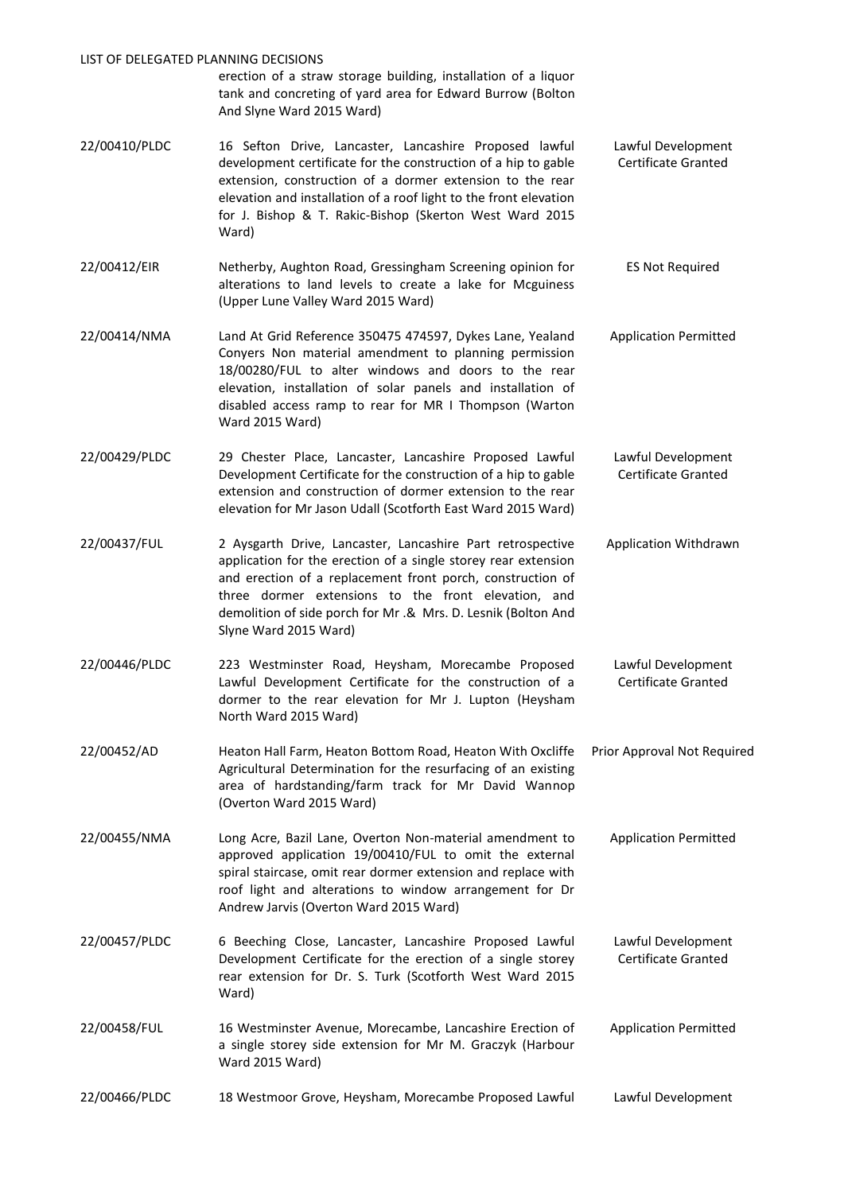#### LIST OF DELEGATED PLANNING DECISIONS

erection of a straw storage building, installation of a liquor tank and concreting of yard area for Edward Burrow (Bolton And Slyne Ward 2015 Ward)

- 22/00410/PLDC 16 Sefton Drive, Lancaster, Lancashire Proposed lawful development certificate for the construction of a hip to gable extension, construction of a dormer extension to the rear elevation and installation of a roof light to the front elevation for J. Bishop & T. Rakic-Bishop (Skerton West Ward 2015 Ward) Lawful Development Certificate Granted
- 22/00412/EIR Netherby, Aughton Road, Gressingham Screening opinion for alterations to land levels to create a lake for Mcguiness (Upper Lune Valley Ward 2015 Ward) ES Not Required
- 22/00414/NMA Land At Grid Reference 350475 474597, Dykes Lane, Yealand Conyers Non material amendment to planning permission 18/00280/FUL to alter windows and doors to the rear elevation, installation of solar panels and installation of disabled access ramp to rear for MR I Thompson (Warton Ward 2015 Ward) Application Permitted
- 22/00429/PLDC 29 Chester Place, Lancaster, Lancashire Proposed Lawful Development Certificate for the construction of a hip to gable extension and construction of dormer extension to the rear elevation for Mr Jason Udall (Scotforth East Ward 2015 Ward) Lawful Development Certificate Granted
- 22/00437/FUL 2 Aysgarth Drive, Lancaster, Lancashire Part retrospective application for the erection of a single storey rear extension and erection of a replacement front porch, construction of three dormer extensions to the front elevation, and demolition of side porch for Mr .& Mrs. D. Lesnik (Bolton And Slyne Ward 2015 Ward) Application Withdrawn
- 22/00446/PLDC 223 Westminster Road, Heysham, Morecambe Proposed Lawful Development Certificate for the construction of a dormer to the rear elevation for Mr J. Lupton (Heysham North Ward 2015 Ward) Lawful Development Certificate Granted
- 22/00452/AD Heaton Hall Farm, Heaton Bottom Road, Heaton With Oxcliffe Agricultural Determination for the resurfacing of an existing area of hardstanding/farm track for Mr David Wannop (Overton Ward 2015 Ward) Prior Approval Not Required
- 22/00455/NMA Long Acre, Bazil Lane, Overton Non-material amendment to approved application 19/00410/FUL to omit the external spiral staircase, omit rear dormer extension and replace with roof light and alterations to window arrangement for Dr Andrew Jarvis (Overton Ward 2015 Ward) Application Permitted
- 22/00457/PLDC 6 Beeching Close, Lancaster, Lancashire Proposed Lawful Development Certificate for the erection of a single storey rear extension for Dr. S. Turk (Scotforth West Ward 2015 Ward) Lawful Development Certificate Granted
- 22/00458/FUL 16 Westminster Avenue, Morecambe, Lancashire Erection of a single storey side extension for Mr M. Graczyk (Harbour Ward 2015 Ward) Application Permitted
- 22/00466/PLDC 18 Westmoor Grove, Heysham, Morecambe Proposed Lawful Lawful Development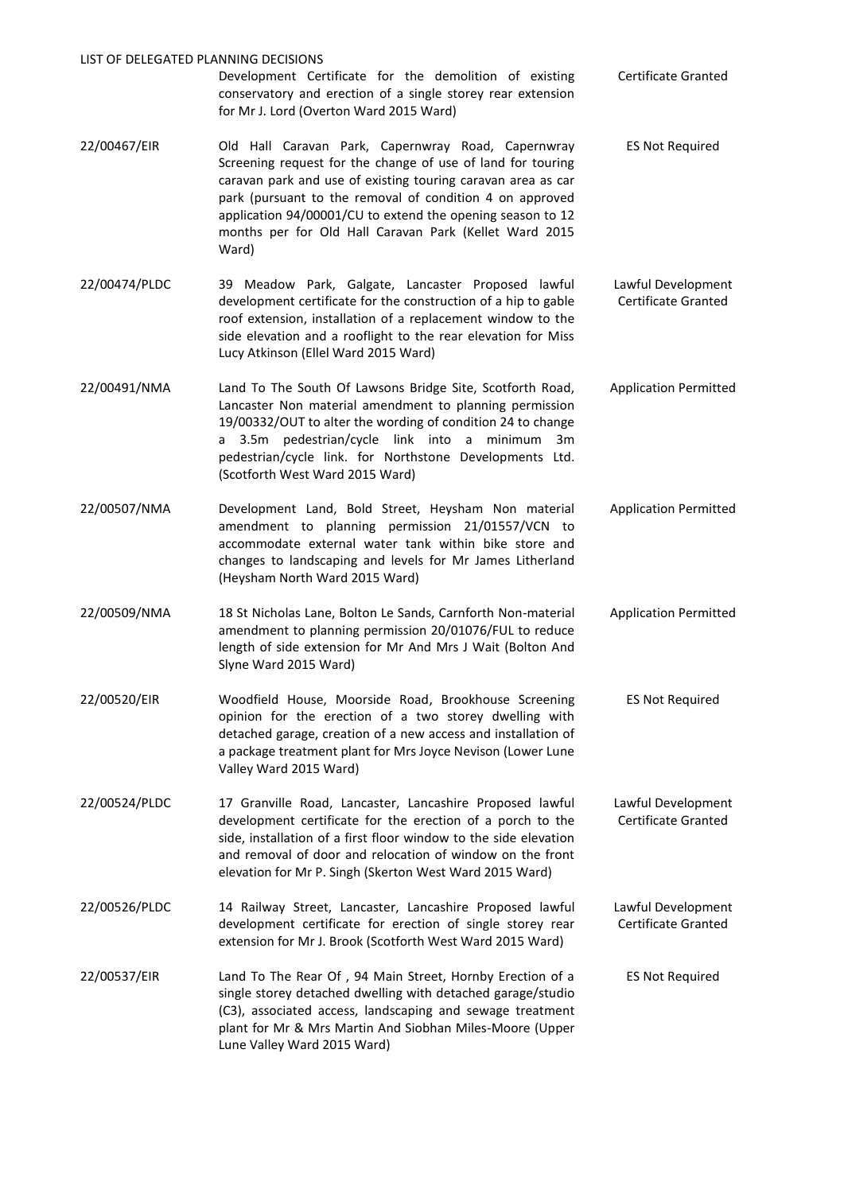| LIST OF DELEGATED PLANNING DECISIONS |                                                                                                                                                                                                                                                                                                                                                                                |                                           |
|--------------------------------------|--------------------------------------------------------------------------------------------------------------------------------------------------------------------------------------------------------------------------------------------------------------------------------------------------------------------------------------------------------------------------------|-------------------------------------------|
|                                      | Development Certificate for the demolition of existing<br>conservatory and erection of a single storey rear extension<br>for Mr J. Lord (Overton Ward 2015 Ward)                                                                                                                                                                                                               | Certificate Granted                       |
| 22/00467/EIR                         | Old Hall Caravan Park, Capernwray Road, Capernwray<br>Screening request for the change of use of land for touring<br>caravan park and use of existing touring caravan area as car<br>park (pursuant to the removal of condition 4 on approved<br>application 94/00001/CU to extend the opening season to 12<br>months per for Old Hall Caravan Park (Kellet Ward 2015<br>Ward) | <b>ES Not Required</b>                    |
| 22/00474/PLDC                        | 39 Meadow Park, Galgate, Lancaster Proposed lawful<br>development certificate for the construction of a hip to gable<br>roof extension, installation of a replacement window to the<br>side elevation and a rooflight to the rear elevation for Miss<br>Lucy Atkinson (Ellel Ward 2015 Ward)                                                                                   | Lawful Development<br>Certificate Granted |
| 22/00491/NMA                         | Land To The South Of Lawsons Bridge Site, Scotforth Road,<br>Lancaster Non material amendment to planning permission<br>19/00332/OUT to alter the wording of condition 24 to change<br>a 3.5m pedestrian/cycle link into a minimum<br>3m<br>pedestrian/cycle link. for Northstone Developments Ltd.<br>(Scotforth West Ward 2015 Ward)                                         | <b>Application Permitted</b>              |
| 22/00507/NMA                         | Development Land, Bold Street, Heysham Non material<br>amendment to planning permission 21/01557/VCN to<br>accommodate external water tank within bike store and<br>changes to landscaping and levels for Mr James Litherland<br>(Heysham North Ward 2015 Ward)                                                                                                                | <b>Application Permitted</b>              |
| 22/00509/NMA                         | 18 St Nicholas Lane, Bolton Le Sands, Carnforth Non-material<br>amendment to planning permission 20/01076/FUL to reduce<br>length of side extension for Mr And Mrs J Wait (Bolton And<br>Slyne Ward 2015 Ward)                                                                                                                                                                 | <b>Application Permitted</b>              |
| 22/00520/EIR                         | Woodfield House, Moorside Road, Brookhouse Screening<br>opinion for the erection of a two storey dwelling with<br>detached garage, creation of a new access and installation of<br>a package treatment plant for Mrs Joyce Nevison (Lower Lune<br>Valley Ward 2015 Ward)                                                                                                       | <b>ES Not Required</b>                    |
| 22/00524/PLDC                        | 17 Granville Road, Lancaster, Lancashire Proposed lawful<br>development certificate for the erection of a porch to the<br>side, installation of a first floor window to the side elevation<br>and removal of door and relocation of window on the front<br>elevation for Mr P. Singh (Skerton West Ward 2015 Ward)                                                             | Lawful Development<br>Certificate Granted |
| 22/00526/PLDC                        | 14 Railway Street, Lancaster, Lancashire Proposed lawful<br>development certificate for erection of single storey rear<br>extension for Mr J. Brook (Scotforth West Ward 2015 Ward)                                                                                                                                                                                            | Lawful Development<br>Certificate Granted |
| 22/00537/EIR                         | Land To The Rear Of, 94 Main Street, Hornby Erection of a<br>single storey detached dwelling with detached garage/studio<br>(C3), associated access, landscaping and sewage treatment<br>plant for Mr & Mrs Martin And Siobhan Miles-Moore (Upper<br>Lune Valley Ward 2015 Ward)                                                                                               | <b>ES Not Required</b>                    |